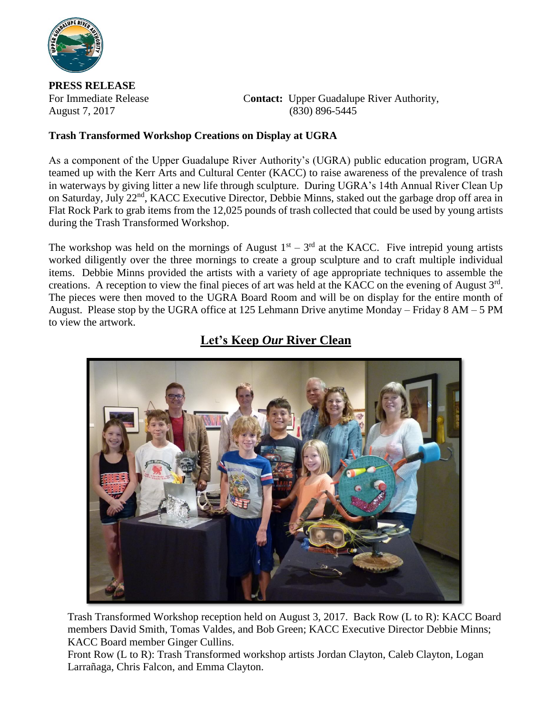

**PRESS RELEASE**

For Immediate Release **Contact:** Upper Guadalupe River Authority, August 7, 2017 (830) 896-5445

## **Trash Transformed Workshop Creations on Display at UGRA**

As a component of the Upper Guadalupe River Authority's (UGRA) public education program, UGRA teamed up with the Kerr Arts and Cultural Center (KACC) to raise awareness of the prevalence of trash in waterways by giving litter a new life through sculpture. During UGRA's 14th Annual River Clean Up on Saturday, July 22<sup>nd</sup>, KACC Executive Director, Debbie Minns, staked out the garbage drop off area in Flat Rock Park to grab items from the 12,025 pounds of trash collected that could be used by young artists during the Trash Transformed Workshop.

The workshop was held on the mornings of August  $1<sup>st</sup> - 3<sup>rd</sup>$  at the KACC. Five intrepid young artists worked diligently over the three mornings to create a group sculpture and to craft multiple individual items. Debbie Minns provided the artists with a variety of age appropriate techniques to assemble the creations. A reception to view the final pieces of art was held at the KACC on the evening of August  $3<sup>rd</sup>$ . The pieces were then moved to the UGRA Board Room and will be on display for the entire month of August. Please stop by the UGRA office at 125 Lehmann Drive anytime Monday – Friday 8 AM – 5 PM to view the artwork.



## **Let's Keep** *Our* **River Clean**

Trash Transformed Workshop reception held on August 3, 2017. Back Row (L to R): KACC Board members David Smith, Tomas Valdes, and Bob Green; KACC Executive Director Debbie Minns; KACC Board member Ginger Cullins.

Front Row (L to R): Trash Transformed workshop artists Jordan Clayton, Caleb Clayton, Logan Larrañaga, Chris Falcon, and Emma Clayton.